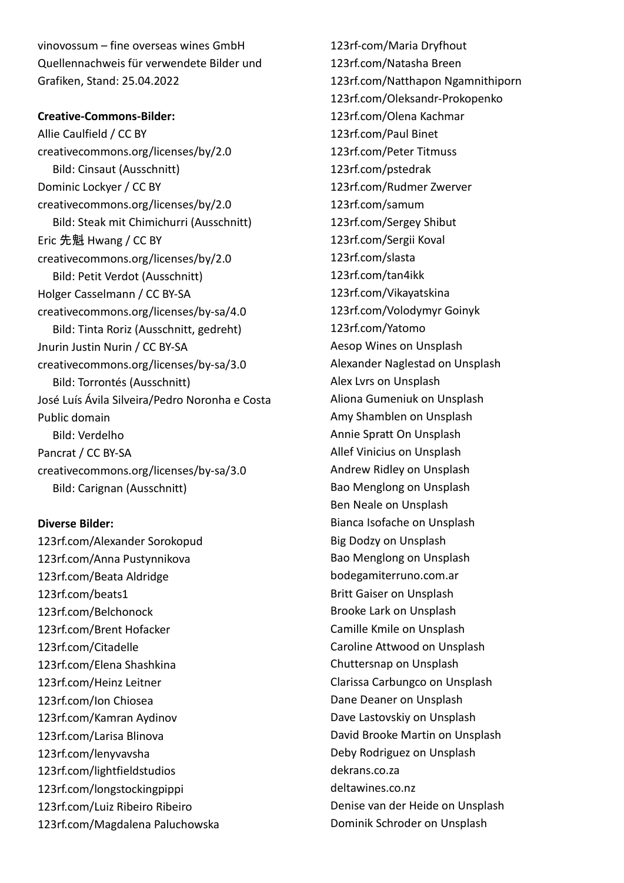vinovossum – fine overseas wines GmbH Quellennachweis für verwendete Bilder und Grafiken, Stand: 25.04.2022

## **Creative-Commons-Bilder:**

Allie Caulfield / CC BY creativecommons.org/licenses/by/2.0 Bild: Cinsaut (Ausschnitt) Dominic Lockyer / CC BY creativecommons.org/licenses/by/2.0 Bild: Steak mit Chimichurri (Ausschnitt) Eric 先魁 Hwang / CC BY creativecommons.org/licenses/by/2.0 Bild: Petit Verdot (Ausschnitt) Holger Casselmann / CC BY-SA creativecommons.org/licenses/by-sa/4.0 Bild: Tinta Roriz (Ausschnitt, gedreht) Jnurin Justin Nurin / CC BY-SA creativecommons.org/licenses/by-sa/3.0 Bild: Torrontés (Ausschnitt) José Luís Ávila Silveira/Pedro Noronha e Costa Public domain Bild: Verdelho Pancrat / CC BY-SA creativecommons.org/licenses/by-sa/3.0 Bild: Carignan (Ausschnitt)

## **Diverse Bilder:**

123rf.com/Alexander Sorokopud 123rf.com/Anna Pustynnikova 123rf.com/Beata Aldridge 123rf.com/beats1 123rf.com/Belchonock 123rf.com/Brent Hofacker 123rf.com/Citadelle 123rf.com/Elena Shashkina 123rf.com/Heinz Leitner 123rf.com/Ion Chiosea 123rf.com/Kamran Aydinov 123rf.com/Larisa Blinova 123rf.com/lenyvavsha 123rf.com/lightfieldstudios 123rf.com/longstockingpippi 123rf.com/Luiz Ribeiro Ribeiro 123rf.com/Magdalena Paluchowska 123rf-com/Maria Dryfhout 123rf.com/Natasha Breen 123rf.com/Natthapon Ngamnithiporn 123rf.com/Oleksandr-Prokopenko 123rf.com/Olena Kachmar 123rf.com/Paul Binet 123rf.com/Peter Titmuss 123rf.com/pstedrak 123rf.com/Rudmer Zwerver 123rf.com/samum 123rf.com/Sergey Shibut 123rf.com/Sergii Koval 123rf.com/slasta 123rf.com/tan4ikk 123rf.com/Vikayatskina 123rf.com/Volodymyr Goinyk 123rf.com/Yatomo Aesop Wines on Unsplash Alexander Naglestad on Unsplash Alex Lvrs on Unsplash Aliona Gumeniuk on Unsplash Amy Shamblen on Unsplash Annie Spratt On Unsplash Allef Vinicius on Unsplash Andrew Ridley on Unsplash Bao Menglong on Unsplash Ben Neale on Unsplash Bianca Isofache on Unsplash Big Dodzy on Unsplash Bao Menglong on Unsplash bodegamiterruno.com.ar Britt Gaiser on Unsplash Brooke Lark on Unsplash Camille Kmile on Unsplash Caroline Attwood on Unsplash Chuttersnap on Unsplash Clarissa Carbungco on Unsplash Dane Deaner on Unsplash Dave Lastovskiy on Unsplash David Brooke Martin on Unsplash Deby Rodriguez on Unsplash dekrans.co.za deltawines.co.nz Denise van der Heide on Unsplash Dominik Schroder on Unsplash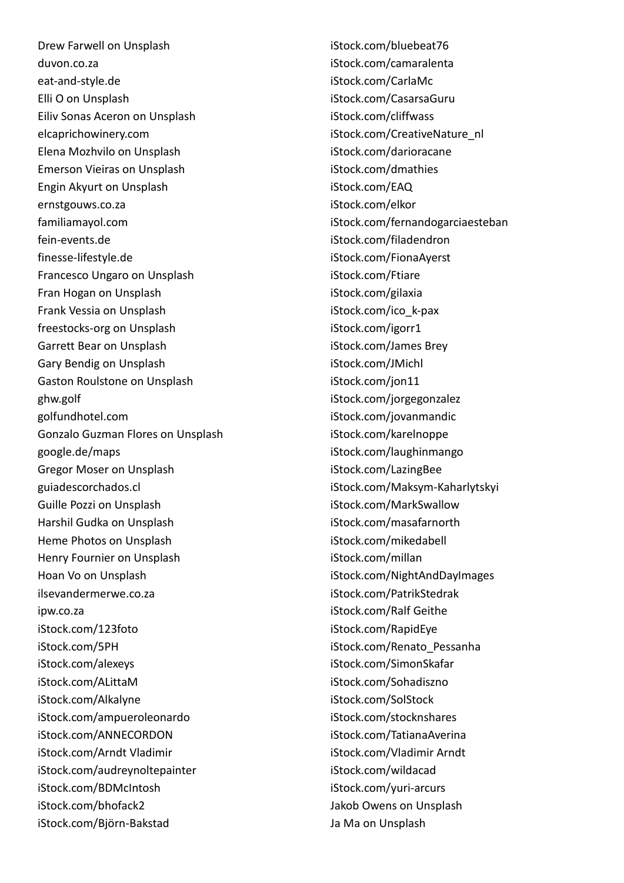Drew Farwell on Unsplash duvon.co.za eat-and-style.de Elli O on Unsplash Eiliv Sonas Aceron on Unsplash elcaprichowinery.com Elena Mozhvilo on Unsplash Emerson Vieiras on Unsplash Engin Akyurt on Unsplash ernstgouws.co.za familiamayol.com fein-events.de finesse-lifestyle.de Francesco Ungaro on Unsplash Fran Hogan on Unsplash Frank Vessia on Unsplash freestocks-org on Unsplash Garrett Bear on Unsplash Gary Bendig on Unsplash Gaston Roulstone on Unsplash ghw.golf golfundhotel.com Gonzalo Guzman Flores on Unsplash google.de/maps Gregor Moser on Unsplash guiadescorchados.cl Guille Pozzi on Unsplash Harshil Gudka on Unsplash Heme Photos on Unsplash Henry Fournier on Unsplash Hoan Vo on Unsplash ilsevandermerwe.co.za ipw.co.za iStock.com/123foto iStock.com/5PH iStock.com/alexeys iStock.com/ALittaM iStock.com/Alkalyne iStock.com/ampueroleonardo iStock.com/ANNECORDON iStock.com/Arndt Vladimir iStock.com/audreynoltepainter iStock.com/BDMcIntosh iStock.com/bhofack2 iStock.com/Björn-Bakstad

iStock.com/bluebeat76 iStock.com/camaralenta iStock.com/CarlaMc iStock.com/CasarsaGuru iStock.com/cliffwass iStock.com/CreativeNature\_nl iStock.com/darioracane iStock.com/dmathies iStock.com/EAQ iStock.com/elkor iStock.com/fernandogarciaesteban iStock.com/filadendron iStock.com/FionaAyerst iStock.com/Ftiare iStock.com/gilaxia iStock.com/ico\_k-pax iStock.com/igorr1 iStock.com/James Brey iStock.com/JMichl iStock.com/jon11 iStock.com/jorgegonzalez iStock.com/jovanmandic iStock.com/karelnoppe iStock.com/laughinmango iStock.com/LazingBee iStock.com/Maksym-Kaharlytskyi iStock.com/MarkSwallow iStock.com/masafarnorth iStock.com/mikedabell iStock.com/millan iStock.com/NightAndDayImages iStock.com/PatrikStedrak iStock.com/Ralf Geithe iStock.com/RapidEye iStock.com/Renato\_Pessanha iStock.com/SimonSkafar iStock.com/Sohadiszno iStock.com/SolStock iStock.com/stocknshares iStock.com/TatianaAverina iStock.com/Vladimir Arndt iStock.com/wildacad iStock.com/yuri-arcurs Jakob Owens on Unsplash Ja Ma on Unsplash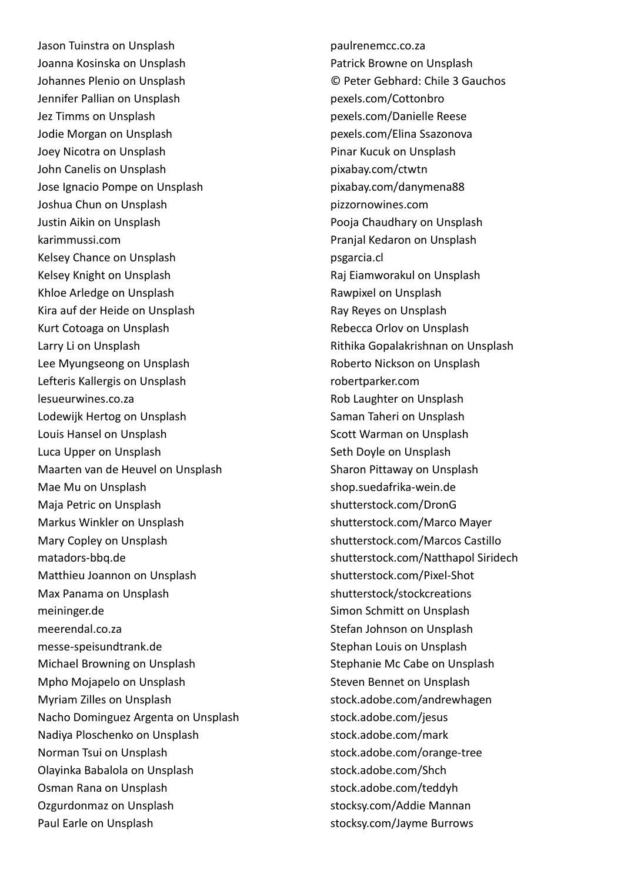Jason Tuinstra on Unsplash Joanna Kosinska on Unsplash Johannes Plenio on Unsplash Jennifer Pallian on Unsplash Jez Timms on Unsplash Jodie Morgan on Unsplash Joey Nicotra on Unsplash John Canelis on Unsplash Jose Ignacio Pompe on Unsplash Joshua Chun on Unsplash Justin Aikin on Unsplash karimmussi.com Kelsey Chance on Unsplash Kelsey Knight on Unsplash Khloe Arledge on Unsplash Kira auf der Heide on Unsplash Kurt Cotoaga on Unsplash Larry Li on Unsplash Lee Myungseong on Unsplash Lefteris Kallergis on Unsplash lesueurwines.co.za Lodewijk Hertog on Unsplash Louis Hansel on Unsplash Luca Upper on Unsplash Maarten van de Heuvel on Unsplash Mae Mu on Unsplash Maja Petric on Unsplash Markus Winkler on Unsplash Mary Copley on Unsplash matadors-bbq.de Matthieu Joannon on Unsplash Max Panama on Unsplash meininger.de meerendal.co.za messe-speisundtrank.de Michael Browning on Unsplash Mpho Mojapelo on Unsplash Myriam Zilles on Unsplash Nacho Dominguez Argenta on Unsplash Nadiya Ploschenko on Unsplash Norman Tsui on Unsplash Olayinka Babalola on Unsplash Osman Rana on Unsplash Ozgurdonmaz on Unsplash Paul Earle on Unsplash

paulrenemcc.co.za Patrick Browne on Unsplash © Peter Gebhard: Chile 3 Gauchos pexels.com/Cottonbro pexels.com/Danielle Reese pexels.com/Elina Ssazonova Pinar Kucuk on Unsplash pixabay.com/ctwtn pixabay.com/danymena88 pizzornowines.com Pooja Chaudhary on Unsplash Pranjal Kedaron on Unsplash psgarcia.cl Raj Eiamworakul on Unsplash Rawpixel on Unsplash Ray Reyes on Unsplash Rebecca Orlov on Unsplash Rithika Gopalakrishnan on Unsplash Roberto Nickson on Unsplash robertparker.com Rob Laughter on Unsplash Saman Taheri on Unsplash Scott Warman on Unsplash Seth Doyle on Unsplash Sharon Pittaway on Unsplash shop.suedafrika-wein.de shutterstock.com/DronG shutterstock.com/Marco Mayer shutterstock.com/Marcos Castillo shutterstock.com/Natthapol Siridech shutterstock.com/Pixel-Shot shutterstock/stockcreations Simon Schmitt on Unsplash Stefan Johnson on Unsplash Stephan Louis on Unsplash Stephanie Mc Cabe on Unsplash Steven Bennet on Unsplash stock.adobe.com/andrewhagen stock.adobe.com/jesus stock.adobe.com/mark stock.adobe.com/orange-tree stock.adobe.com/Shch stock.adobe.com/teddyh stocksy.com/Addie Mannan stocksy.com/Jayme Burrows